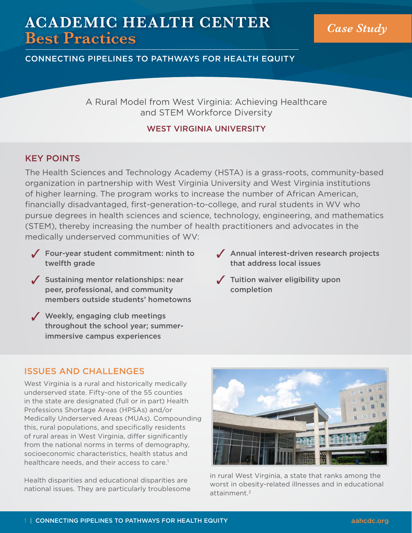# **ACADEMIC HEALTH CENTER Best Practices** *Case Study*

CONNECTING PIPELINES TO PATHWAYS FOR HEALTH EQUITY

A Rural Model from West Virginia: Achieving Healthcare and STEM Workforce Diversity

### WEST VIRGINIA UNIVERSITY

# KEY POINTS

The Health Sciences and Technology Academy (HSTA) is a grass-roots, community-based organization in partnership with West Virginia University and West Virginia institutions of higher learning. The program works to increase the number of African American, financially disadvantaged, first-generation-to-college, and rural students in WV who pursue degrees in health sciences and science, technology, engineering, and mathematics (STEM), thereby increasing the number of health practitioners and advocates in the medically underserved communities of WV:

- $\sqrt{\ }$  Four-year student commitment: ninth to twelfth grade
- $\sqrt{\ }$  Sustaining mentor relationships: near peer, professional, and community members outside students' hometowns
- $\sqrt{\phantom{a}}$  Weekly, engaging club meetings throughout the school year; summerimmersive campus experiences
- $\sqrt{\phantom{a}}$  Annual interest-driven research projects that address local issues
- $\sqrt{\phantom{a}}$  Tuition waiver eligibility upon completion

## ISSUES AND CHALLENGES

West Virginia is a rural and historically medically underserved state. Fifty-one of the 55 counties in the state are designated (full or in part) Health Professions Shortage Areas (HPSAs) and/or Medically Underserved Areas (MUAs). Compounding this, rural populations, and specifically residents of rural areas in West Virginia, differ significantly from the national norms in terms of demography, socioeconomic characteristics, health status and healthcare needs, and their access to care.<sup>1</sup>

Health disparities and educational disparities are national issues. They are particularly troublesome



in rural West Virginia, a state that ranks among the worst in obesity-related illnesses and in educational attainment.<sup>2</sup>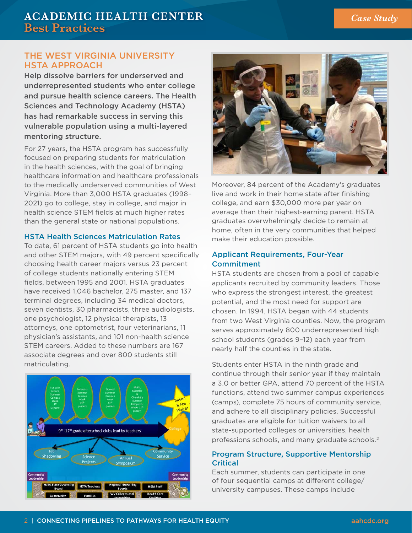#### THE WEST VIRGINIA UNIVERSITY HSTA APPROACH

Help dissolve barriers for underserved and underrepresented students who enter college and pursue health science careers. The Health Sciences and Technology Academy (HSTA) has had remarkable success in serving this vulnerable population using a multi-layered mentoring structure.

For 27 years, the HSTA program has successfully focused on preparing students for matriculation in the health sciences, with the goal of bringing healthcare information and healthcare professionals to the medically underserved communities of West Virginia. More than 3,000 HSTA graduates (1998– 2021) go to college, stay in college, and major in health science STEM fields at much higher rates than the general state or national populations.

#### HSTA Health Sciences Matriculation Rates

To date, 61 percent of HSTA students go into health and other STEM majors, with 49 percent specifically choosing health career majors versus 23 percent of college students nationally entering STEM fields, between 1995 and 2001. HSTA graduates have received 1,046 bachelor, 275 master, and 137 terminal degrees, including 34 medical doctors, seven dentists, 30 pharmacists, three audiologists, one psychologist, 12 physical therapists, 13 attorneys, one optometrist, four veterinarians, 11 physician's assistants, and 101 non-health science STEM careers. Added to these numbers are 167 associate degrees and over 800 students still matriculating.





Moreover, 84 percent of the Academy's graduates live and work in their home state after finishing college, and earn \$30,000 more per year on average than their highest-earning parent. HSTA graduates overwhelmingly decide to remain at home, often in the very communities that helped make their education possible.

#### Applicant Requirements, Four-Year Commitment

HSTA students are chosen from a pool of capable applicants recruited by community leaders. Those who express the strongest interest, the greatest potential, and the most need for support are chosen. In 1994, HSTA began with 44 students from two West Virginia counties. Now, the program serves approximately 800 underrepresented high school students (grades 9–12) each year from nearly half the counties in the state.

Students enter HSTA in the ninth grade and continue through their senior year if they maintain a 3.0 or better GPA, attend 70 percent of the HSTA functions, attend two summer campus experiences (camps), complete 75 hours of community service, and adhere to all disciplinary policies. Successful graduates are eligible for tuition waivers to all state-supported colleges or universities, health professions schools, and many graduate schools.2

#### Program Structure, Supportive Mentorship Critical

Each summer, students can participate in one of four sequential camps at different college/ university campuses. These camps include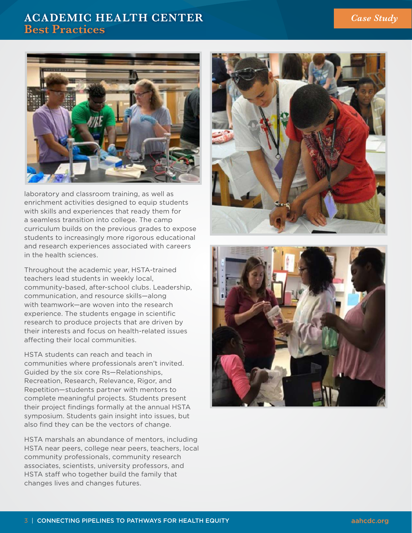# **ACADEMIC HEALTH CENTER Best Practices**



laboratory and classroom training, as well as enrichment activities designed to equip students with skills and experiences that ready them for a seamless transition into college. The camp curriculum builds on the previous grades to expose students to increasingly more rigorous educational and research experiences associated with careers in the health sciences.

Throughout the academic year, HSTA-trained teachers lead students in weekly local, community-based, after-school clubs. Leadership, communication, and resource skills—along with teamwork—are woven into the research experience. The students engage in scientific research to produce projects that are driven by their interests and focus on health-related issues affecting their local communities.

HSTA students can reach and teach in communities where professionals aren't invited. Guided by the six core Rs—Relationships, Recreation, Research, Relevance, Rigor, and Repetition—students partner with mentors to complete meaningful projects. Students present their project findings formally at the annual HSTA symposium. Students gain insight into issues, but also find they can be the vectors of change.

HSTA marshals an abundance of mentors, including HSTA near peers, college near peers, teachers, local community professionals, community research associates, scientists, university professors, and HSTA staff who together build the family that changes lives and changes futures.